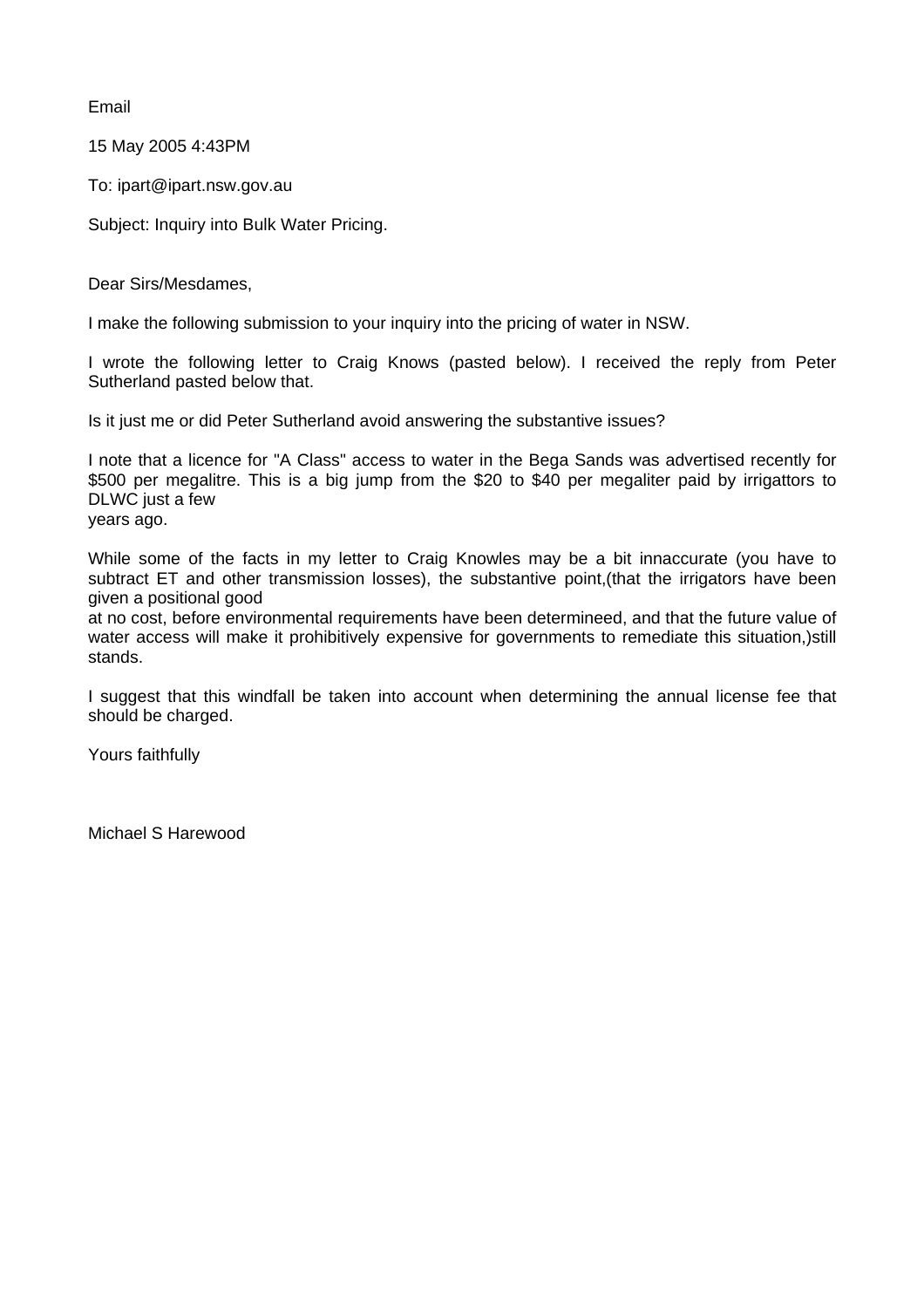Email

15 May 2005 4:43PM

To: ipart@ipart.nsw.gov.au

Subject: Inquiry into Bulk Water Pricing.

Dear Sirs/Mesdames,

I make the following submission to your inquiry into the pricing of water in NSW.

I wrote the following letter to Craig Knows (pasted below). I received the reply from Peter Sutherland pasted below that.

Is it just me or did Peter Sutherland avoid answering the substantive issues?

I note that a licence for "A Class" access to water in the Bega Sands was advertised recently for \$500 per megalitre. This is a big jump from the \$20 to \$40 per megaliter paid by irrigattors to DLWC just a few

years ago.

While some of the facts in my letter to Craig Knowles may be a bit innaccurate (you have to subtract ET and other transmission losses), the substantive point,(that the irrigators have been given a positional good

at no cost, before environmental requirements have been determineed, and that the future value of water access will make it prohibitively expensive for governments to remediate this situation,)still stands.

I suggest that this windfall be taken into account when determining the annual license fee that should be charged.

Yours faithfully

Michael S Harewood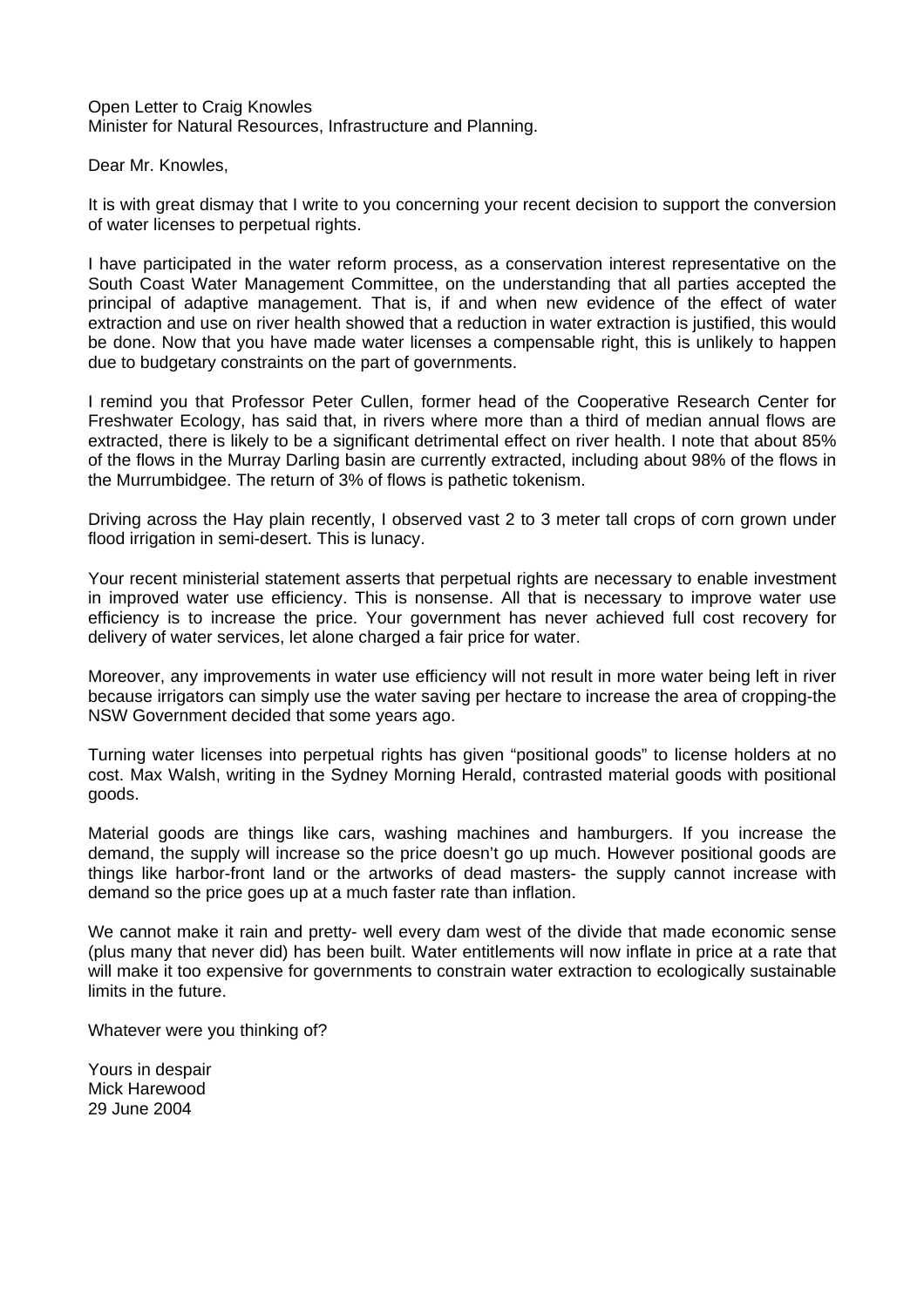Open Letter to Craig Knowles Minister for Natural Resources, Infrastructure and Planning.

Dear Mr. Knowles,

It is with great dismay that I write to you concerning your recent decision to support the conversion of water licenses to perpetual rights.

I have participated in the water reform process, as a conservation interest representative on the South Coast Water Management Committee, on the understanding that all parties accepted the principal of adaptive management. That is, if and when new evidence of the effect of water extraction and use on river health showed that a reduction in water extraction is justified, this would be done. Now that you have made water licenses a compensable right, this is unlikely to happen due to budgetary constraints on the part of governments.

I remind you that Professor Peter Cullen, former head of the Cooperative Research Center for Freshwater Ecology, has said that, in rivers where more than a third of median annual flows are extracted, there is likely to be a significant detrimental effect on river health. I note that about 85% of the flows in the Murray Darling basin are currently extracted, including about 98% of the flows in the Murrumbidgee. The return of 3% of flows is pathetic tokenism.

Driving across the Hay plain recently, I observed vast 2 to 3 meter tall crops of corn grown under flood irrigation in semi-desert. This is lunacy.

Your recent ministerial statement asserts that perpetual rights are necessary to enable investment in improved water use efficiency. This is nonsense. All that is necessary to improve water use efficiency is to increase the price. Your government has never achieved full cost recovery for delivery of water services, let alone charged a fair price for water.

Moreover, any improvements in water use efficiency will not result in more water being left in river because irrigators can simply use the water saving per hectare to increase the area of cropping-the NSW Government decided that some years ago.

Turning water licenses into perpetual rights has given "positional goods" to license holders at no cost. Max Walsh, writing in the Sydney Morning Herald, contrasted material goods with positional goods.

Material goods are things like cars, washing machines and hamburgers. If you increase the demand, the supply will increase so the price doesn't go up much. However positional goods are things like harbor-front land or the artworks of dead masters- the supply cannot increase with demand so the price goes up at a much faster rate than inflation.

We cannot make it rain and pretty- well every dam west of the divide that made economic sense (plus many that never did) has been built. Water entitlements will now inflate in price at a rate that will make it too expensive for governments to constrain water extraction to ecologically sustainable limits in the future.

Whatever were you thinking of?

Yours in despair Mick Harewood 29 June 2004